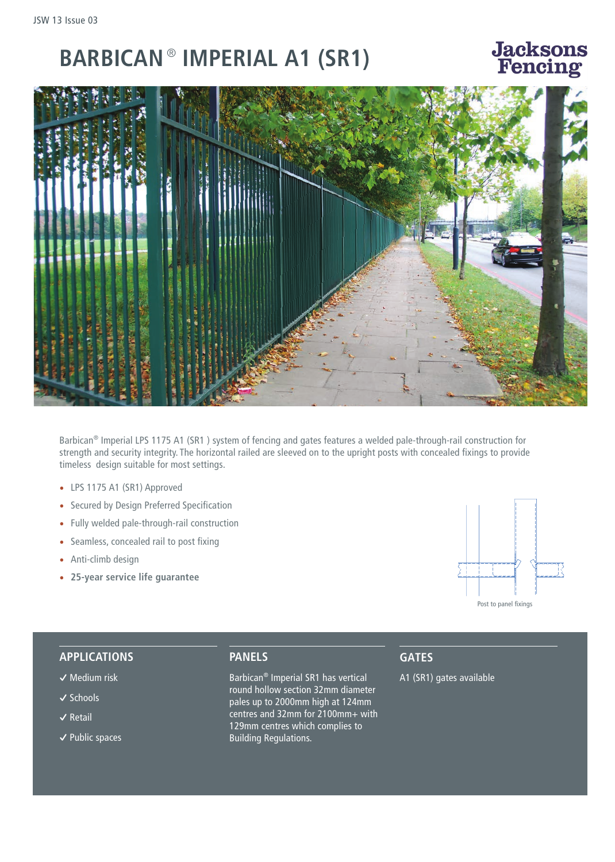## **BARBICAN** ® **IMPERIAL A1 (SR1)**

### **Jacksons** - Fencino



Barbican® Imperial LPS 1175 A1 (SR1 ) system of fencing and gates features a welded pale-through-rail construction for strength and security integrity. The horizontal railed are sleeved on to the upright posts with concealed fixings to provide timeless design suitable for most settings.

- LPS 1175 A1 (SR1) Approved
- Secured by Design Preferred Specification
- Fully welded pale-through-rail construction
- Seamless, concealed rail to post fixing
- Anti-climb design
- **25-year service life guarantee**



#### **APPLICATIONS**

- **�** Medium risk
- **�** Schools
- **�** Retail
- **�** Public spaces

#### **PANELS**

Barbican® Imperial SR1 has vertical round hollow section 32mm diameter pales up to 2000mm high at 124mm centres and 32mm for 2100mm+ with 129mm centres which complies to Building Regulations.

#### **GATES**

A1 (SR1) gates available